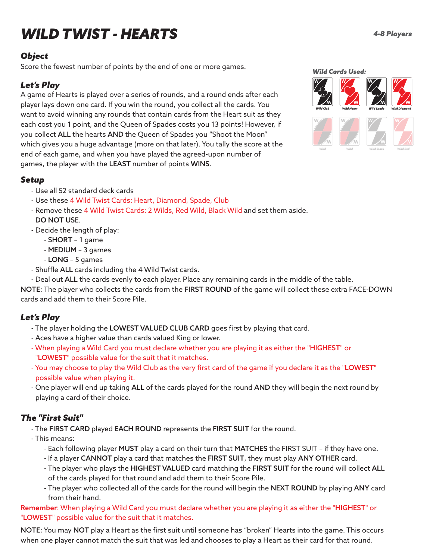# *WILD TWIST - HEARTS*

#### *Object*

*Wild Cards Used:* Score the fewest number of points by the end of one or more games.

# *Let's Play*

A game of Hearts is played over a series of rounds, and a round ends after each player lays down one card. If you win the round, you collect all the cards. You want to avoid winning any rounds that contain cards from the Heart suit as they each cost you 1 point, and the Queen of Spades costs you 13 points! However, if you collect ALL the hearts AND the Queen of Spades you "Shoot the Moon" which gives you a huge advantage (more on that later). You tally the score at the end of each game, and when you have played the agreed-upon number of games, the player with the LEAST number of points WINS.

# *Setup*

- Use all 52 standard deck cards
- Use these 4 Wild Twist Cards: Heart, Diamond, Spade, Club
- Remove these 4 Wild Twist Cards: 2 Wilds, Red Wild, Black Wild and set them aside. DO NOT USE.
- Decide the length of play:
	- SHORT 1 game
	- MEDIUM 3 games
	- LONG 5 games
- Shuffle ALL cards including the 4 Wild Twist cards.
- Deal out ALL the cards evenly to each player. Place any remaining cards in the middle of the table.

NOTE: The player who collects the cards from the FIRST ROUND of the game will collect these extra FACE-DOWN cards and add them to their Score Pile.

# *Let's Play*

- The player holding the LOWEST VALUED CLUB CARD goes first by playing that card.
- Aces have a higher value than cards valued King or lower.
- When playing a Wild Card you must declare whether you are playing it as either the "HIGHEST" or "LOWEST" possible value for the suit that it matches.
- You may choose to play the Wild Club as the very first card of the game if you declare it as the "LOWEST" possible value when playing it.
- One player will end up taking ALL of the cards played for the round AND they will begin the next round by playing a card of their choice.

# *The "First Suit"*

- The FIRST CARD played EACH ROUND represents the FIRST SUIT for the round.
- This means:
	- Each following player MUST play a card on their turn that MATCHES the FIRST SUIT if they have one.
	- If a player CANNOT play a card that matches the FIRST SUIT, they must play ANY OTHER card.
	- The player who plays the HIGHEST VALUED card matching the FIRST SUIT for the round will collect ALL of the cards played for that round and add them to their Score Pile.
	- The player who collected all of the cards for the round will begin the NEXT ROUND by playing ANY card from their hand.

Remember: When playing a Wild Card you must declare whether you are playing it as either the "HIGHEST" or "LOWEST" possible value for the suit that it matches.

NOTE: You may NOT play a Heart as the first suit until someone has "broken" Hearts into the game. This occurs when one player cannot match the suit that was led and chooses to play a Heart as their card for that round.